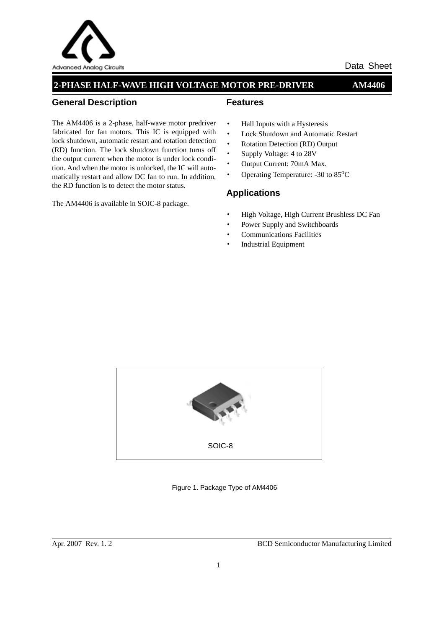

### **2-PHASE HALF-WAVE HIGH VOLTAGE MOTOR PRE-DRIVER AM4406**

#### **General Description**

The AM4406 is a 2-phase, half-wave motor predriver fabricated for fan motors. This IC is equipped with lock shutdown, automatic restart and rotation detection (RD) function. The lock shutdown function turns off the output current when the motor is under lock condition. And when the motor is unlocked, the IC will automatically restart and allow DC fan to run. In addition, the RD function is to detect the motor status.

The AM4406 is available in SOIC-8 package.

#### **Features**

- · Hall Inputs with a Hysteresis
- · Lock Shutdown and Automatic Restart
- · Rotation Detection (RD) Output
- · Supply Voltage: 4 to 28V
- · Output Current: 70mA Max.
- Operating Temperature: -30 to 85<sup>o</sup>C

### **Applications**

- · High Voltage, High Current Brushless DC Fan
- Power Supply and Switchboards
- Communications Facilities
- **Industrial Equipment**



Figure 1. Package Type of AM4406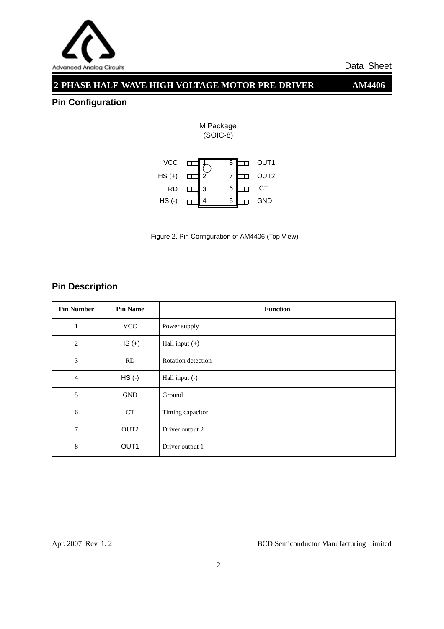

## **2-PHASE HALF-WAVE HIGH VOLTAGE MOTOR PRE-DRIVER AM4406**

## **Pin Configuration**



M Package

Figure 2. Pin Configuration of AM4406 (Top View)

## **Pin Description**

| <b>Pin Number</b> | <b>Pin Name</b>  | <b>Function</b>    |
|-------------------|------------------|--------------------|
| 1                 | <b>VCC</b>       | Power supply       |
| 2                 | $HS (+)$         | Hall input $(+)$   |
| 3                 | RD               | Rotation detection |
| $\overline{4}$    | $HS$ (-)         | Hall input (-)     |
| 5                 | <b>GND</b>       | Ground             |
| 6                 | <b>CT</b>        | Timing capacitor   |
| 7                 | OUT <sub>2</sub> | Driver output 2    |
| 8                 | OUT <sub>1</sub> | Driver output 1    |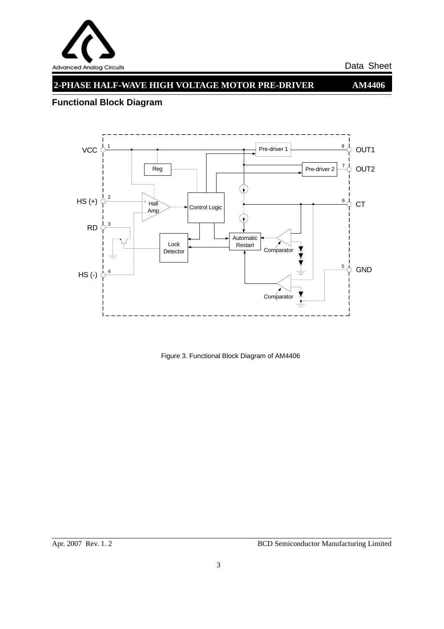

# **2-PHASE HALF-WAVE HIGH VOLTAGE MOTOR PRE-DRIVER AM4406**

## **Functional Block Diagram**



Figure 3. Functional Block Diagram of AM4406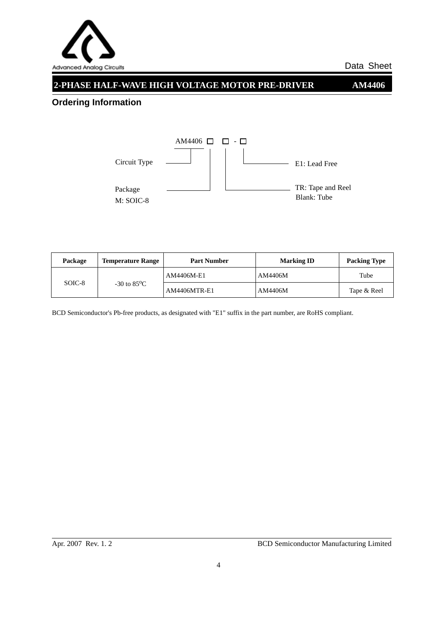

## **2-PHASE HALF-WAVE HIGH VOLTAGE MOTOR PRE-DRIVER AM4406**

## **Ordering Information**



| Package | <b>Temperature Range</b> | <b>Marking ID</b><br><b>Part Number</b> |         | <b>Packing Type</b> |  |
|---------|--------------------------|-----------------------------------------|---------|---------------------|--|
| SOIC-8  | $-30$ to $85^{\circ}$ C  | AM4406M-E1                              | AM4406M | Tube                |  |
|         |                          | <b>AM4406MTR-E1</b>                     | AM4406M | Tape & Reel         |  |

BCD Semiconductor's Pb-free products, as designated with "E1" suffix in the part number, are RoHS compliant.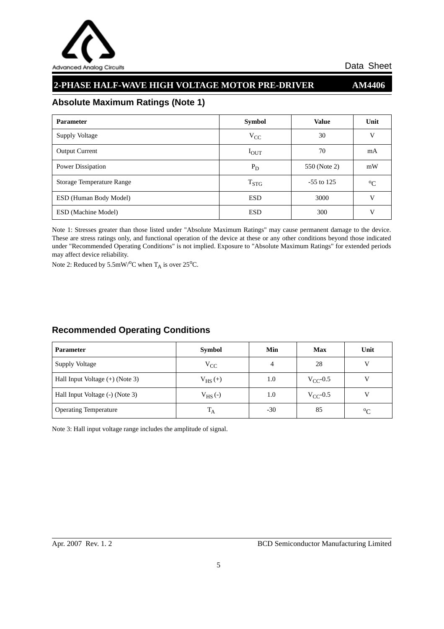

## **2-PHASE HALF-WAVE HIGH VOLTAGE MOTOR PRE-DRIVER AM4406**

### **Absolute Maximum Ratings (Note 1)**

| <b>Parameter</b>                 | <b>Symbol</b> | <b>Value</b> | Unit        |
|----------------------------------|---------------|--------------|-------------|
| <b>Supply Voltage</b>            | $V_{CC}$      | 30           | V           |
| <b>Output Current</b>            | $I_{\rm OUT}$ | 70           | mA          |
| Power Dissipation                | $P_D$         | 550 (Note 2) | mW          |
| <b>Storage Temperature Range</b> | $T_{STG}$     | $-55$ to 125 | $\rm ^{o}C$ |
| ESD (Human Body Model)           | <b>ESD</b>    | 3000         | V           |
| <b>ESD</b> (Machine Model)       | <b>ESD</b>    | 300          | V           |

Note 1: Stresses greater than those listed under "Absolute Maximum Ratings" may cause permanent damage to the device. These are stress ratings only, and functional operation of the device at these or any other conditions beyond those indicated under "Recommended Operating Conditions" is not implied. Exposure to "Absolute Maximum Ratings" for extended periods may affect device reliability.

Note 2: Reduced by  $5.5 \text{mW} / {}^{\text{o}}\text{C}$  when  $\text{T}_{\text{A}}$  is over  $25 {}^{\text{o}}\text{C}$ .

### **Recommended Operating Conditions**

| <b>Parameter</b>                  | <b>Symbol</b> | Min   | <b>Max</b>    | Unit        |
|-----------------------------------|---------------|-------|---------------|-------------|
| Supply Voltage                    | $V_{CC}$      | 4     | 28            |             |
| Hall Input Voltage $(+)$ (Note 3) | $V_{HS}(+)$   | 1.0   | $V_{CC}$ -0.5 |             |
| Hall Input Voltage (-) (Note 3)   | $V_{HS}(-)$   | 1.0   | $V_{CC}$ -0.5 |             |
| <b>Operating Temperature</b>      | $T_A$         | $-30$ | 85            | $\rm ^{o}C$ |

Note 3: Hall input voltage range includes the amplitude of signal.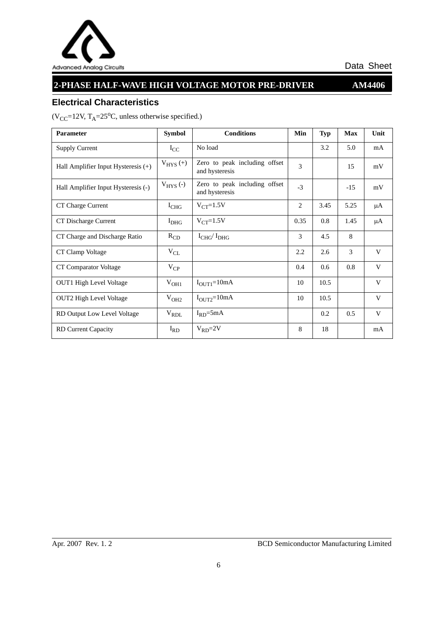

# **2-PHASE HALF-WAVE HIGH VOLTAGE MOTOR PRE-DRIVER AM4406**

### **Electrical Characteristics**

 $(V_{CC} = 12V, T_A = 25^{\circ}C,$  unless otherwise specified.)

| Parameter                             | <b>Symbol</b> | <b>Conditions</b>                               | Min            | <b>Typ</b> | <b>Max</b> | Unit |
|---------------------------------------|---------------|-------------------------------------------------|----------------|------------|------------|------|
| <b>Supply Current</b>                 | $I_{CC}$      | No load                                         |                | 3.2        | 5.0        | mA   |
| Hall Amplifier Input Hysteresis $(+)$ | $V_{HYS}(+)$  | Zero to peak including offset<br>and hysteresis | 3              |            | 15         | mV   |
| Hall Amplifier Input Hysteresis (-)   | $V_{HYS}$ (-) | Zero to peak including offset<br>and hysteresis | $-3$           |            | $-15$      | mV   |
| CT Charge Current                     | $I_{CHG}$     | $V_{CT} = 1.5V$                                 | $\overline{c}$ | 3.45       | 5.25       | μA   |
| CT Discharge Current                  | $I_{DHG}$     | $V_{CT}$ =1.5V                                  | 0.35           | 0.8        | 1.45       | μA   |
| CT Charge and Discharge Ratio         | $R_{CD}$      | $I_{CHG}/I_{DHG}$                               | 3              | 4.5        | 8          |      |
| CT Clamp Voltage                      | $V_{CL}$      |                                                 | 2.2            | 2.6        | 3          | V    |
| CT Comparator Voltage                 | $V_{CP}$      |                                                 | 0.4            | 0.6        | 0.8        | V    |
| <b>OUT1</b> High Level Voltage        | $V_{OH1}$     | $I_{\text{OUT1}}=10mA$                          | 10             | 10.5       |            | V    |
| <b>OUT2</b> High Level Voltage        | $V_{OH2}$     | $I_{\text{OUT2}}=10mA$                          | 10             | 10.5       |            | V    |
| RD Output Low Level Voltage           | $V_{RDL}$     | $I_{RD} = 5mA$                                  |                | 0.2        | 0.5        | V    |
| RD Current Capacity                   | $I_{RD}$      | $V_{RD} = 2V$                                   | 8              | 18         |            | mA   |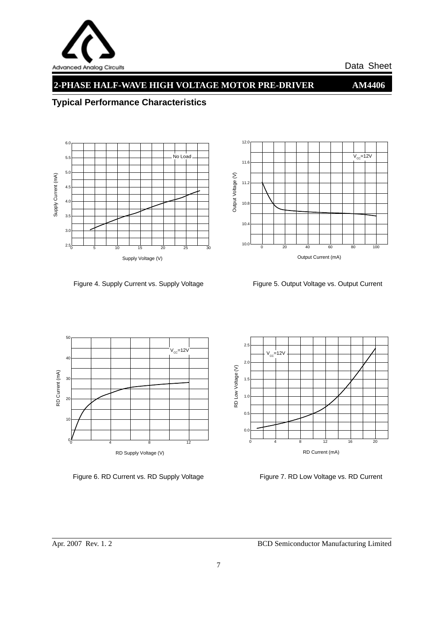

## **2-PHASE HALF-WAVE HIGH VOLTAGE MOTOR PRE-DRIVER AM4406**

 $V_{cc} = 12V$ 

## **Typical Performance Characteristics**



Figure 4. Supply Current vs. Supply Voltage Figure 5. Output Voltage vs. Output Current

Output Current (mA)

0 20 40 60 80 100 10.0

 $10.4$ 

 $10.8$ 

Output Voltage (V)

Output Voltage (V)

11.2

11.6

12.0



Figure 6. RD Current vs. RD Supply Voltage Figure 7. RD Low Voltage vs. RD Current

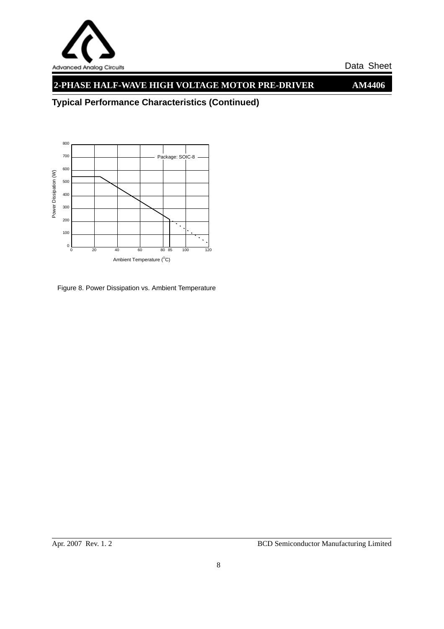

## **2-PHASE HALF-WAVE HIGH VOLTAGE MOTOR PRE-DRIVER AM4406**

**Typical Performance Characteristics (Continued)**



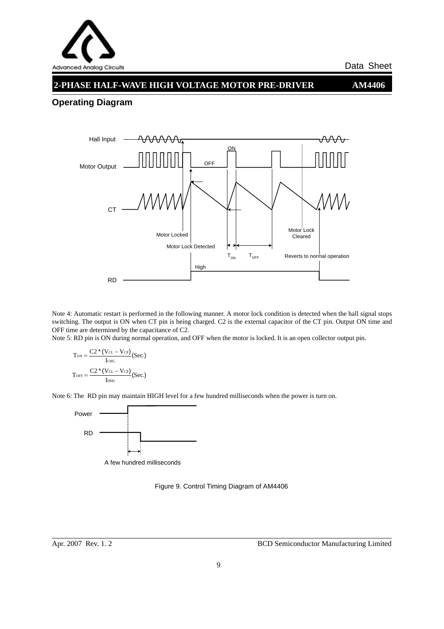

#### **2-PHASE HALF-WAVE HIGH VOLTAGE MOTOR PRE-DRIVER AM4406**

#### **Operating Diagram**



Note 4: Automatic restart is performed in the following manner. A motor lock condition is detected when the hall signal stops switching. The output is ON when CT pin is being charged. C2 is the external capacitor of the CT pin. Output ON time and OFF time are determined by the capacitance of C2.

Note 5: RD pin is ON during normal operation, and OFF when the motor is locked. It is an open collector output pin.

$$
T_{\text{ON}} = \frac{C2 * (V_{\text{CL}} - V_{\text{CP}})}{\text{I}_{\text{CHG}}} \text{(Sec.)}
$$

$$
T_{\text{OFF}} = \frac{C2 * (V_{\text{CL}} - V_{\text{CP}})}{\text{I}_{\text{DHG}}} \text{(Sec.)}
$$

Note 6: The RD pin may maintain HIGH level for a few hundred milliseconds when the power is turn on.



A few hundred milliseconds

Figure 9. Control Timing Diagram of AM4406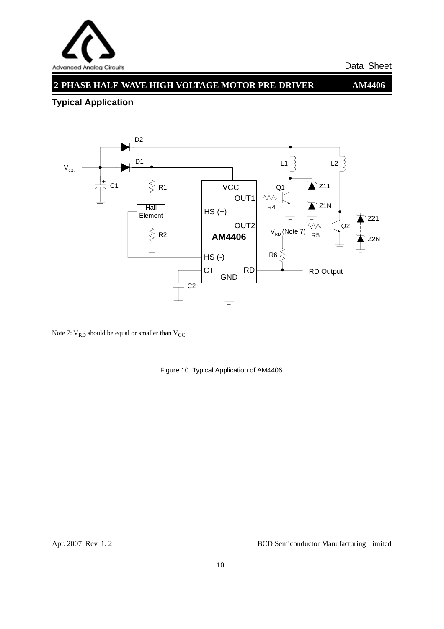

## **2-PHASE HALF-WAVE HIGH VOLTAGE MOTOR PRE-DRIVER AM4406**

## **Typical Application**



Note 7:  $V_{RD}$  should be equal or smaller than  $V_{CC}$ .

Figure 10. Typical Application of AM4406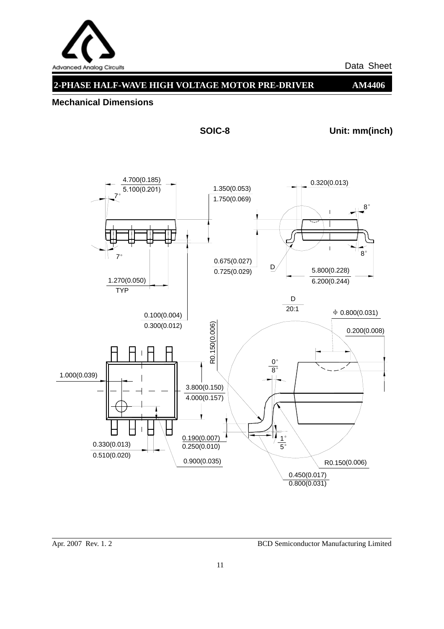

## **2-PHASE HALF-WAVE HIGH VOLTAGE MOTOR PRE-DRIVER AM4406**

#### **Mechanical Dimensions**

**SOIC-8 Unit: mm(inch)**